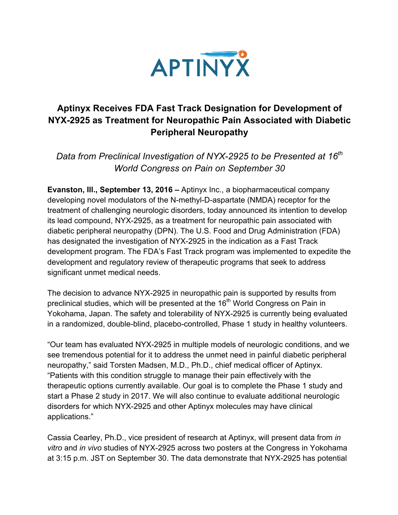

## **Aptinyx Receives FDA Fast Track Designation for Development of NYX-2925 as Treatment for Neuropathic Pain Associated with Diabetic Peripheral Neuropathy**

*Data from Preclinical Investigation of NYX-2925 to be Presented at 16th World Congress on Pain on September 30*

**Evanston, Ill., September 13, 2016 –** Aptinyx Inc., a biopharmaceutical company developing novel modulators of the N-methyl-D-aspartate (NMDA) receptor for the treatment of challenging neurologic disorders, today announced its intention to develop its lead compound, NYX-2925, as a treatment for neuropathic pain associated with diabetic peripheral neuropathy (DPN). The U.S. Food and Drug Administration (FDA) has designated the investigation of NYX-2925 in the indication as a Fast Track development program. The FDA's Fast Track program was implemented to expedite the development and regulatory review of therapeutic programs that seek to address significant unmet medical needs.

The decision to advance NYX-2925 in neuropathic pain is supported by results from preclinical studies, which will be presented at the 16<sup>th</sup> World Congress on Pain in Yokohama, Japan. The safety and tolerability of NYX-2925 is currently being evaluated in a randomized, double-blind, placebo-controlled, Phase 1 study in healthy volunteers.

"Our team has evaluated NYX-2925 in multiple models of neurologic conditions, and we see tremendous potential for it to address the unmet need in painful diabetic peripheral neuropathy," said Torsten Madsen, M.D., Ph.D., chief medical officer of Aptinyx. "Patients with this condition struggle to manage their pain effectively with the therapeutic options currently available. Our goal is to complete the Phase 1 study and start a Phase 2 study in 2017. We will also continue to evaluate additional neurologic disorders for which NYX-2925 and other Aptinyx molecules may have clinical applications."

Cassia Cearley, Ph.D., vice president of research at Aptinyx, will present data from *in vitro* and *in vivo* studies of NYX-2925 across two posters at the Congress in Yokohama at 3:15 p.m. JST on September 30. The data demonstrate that NYX-2925 has potential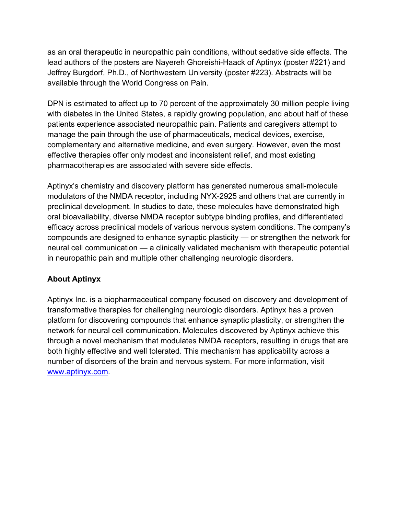as an oral therapeutic in neuropathic pain conditions, without sedative side effects. The lead authors of the posters are Nayereh Ghoreishi-Haack of Aptinyx (poster #221) and Jeffrey Burgdorf, Ph.D., of Northwestern University (poster #223). Abstracts will be available through the World Congress on Pain.

DPN is estimated to affect up to 70 percent of the approximately 30 million people living with diabetes in the United States, a rapidly growing population, and about half of these patients experience associated neuropathic pain. Patients and caregivers attempt to manage the pain through the use of pharmaceuticals, medical devices, exercise, complementary and alternative medicine, and even surgery. However, even the most effective therapies offer only modest and inconsistent relief, and most existing pharmacotherapies are associated with severe side effects.

Aptinyx's chemistry and discovery platform has generated numerous small-molecule modulators of the NMDA receptor, including NYX-2925 and others that are currently in preclinical development. In studies to date, these molecules have demonstrated high oral bioavailability, diverse NMDA receptor subtype binding profiles, and differentiated efficacy across preclinical models of various nervous system conditions. The company's compounds are designed to enhance synaptic plasticity — or strengthen the network for neural cell communication — a clinically validated mechanism with therapeutic potential in neuropathic pain and multiple other challenging neurologic disorders.

## **About Aptinyx**

Aptinyx Inc. is a biopharmaceutical company focused on discovery and development of transformative therapies for challenging neurologic disorders. Aptinyx has a proven platform for discovering compounds that enhance synaptic plasticity, or strengthen the network for neural cell communication. Molecules discovered by Aptinyx achieve this through a novel mechanism that modulates NMDA receptors, resulting in drugs that are both highly effective and well tolerated. This mechanism has applicability across a number of disorders of the brain and nervous system. For more information, visit www.aptinyx.com.